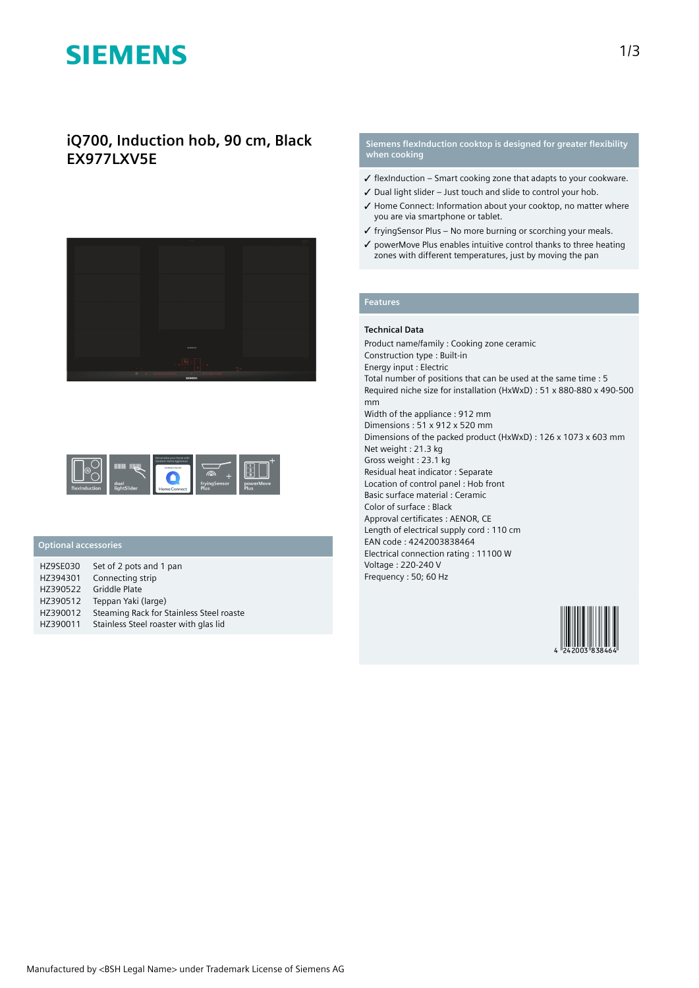# **SIEMENS**

## **iQ700, Induction hob, 90 cm, Black EX977LXV5E**





## **Optional accessories**

| <b>HZ9SE030</b> | Set of 2 pots and 1 pan                  |
|-----------------|------------------------------------------|
| HZ394301        | Connecting strip                         |
| HZ390522        | Griddle Plate                            |
| HZ390512        | Teppan Yaki (large)                      |
| HZ390012        | Steaming Rack for Stainless Steel roaste |
| HZ390011        | Stainless Steel roaster with glas lid    |

### **Siemens flexInduction cooktop is designed for greater flexibility when cooking**

- $\checkmark$  flexInduction Smart cooking zone that adapts to your cookware.
- ✓ Dual light slider Just touch and slide to control your hob.
- ✓ Home Connect: Information about your cooktop, no matter where you are via smartphone or tablet.
- ✓ fryingSensor Plus No more burning or scorching your meals.
- ✓ powerMove Plus enables intuitive control thanks to three heating zones with different temperatures, just by moving the pan

## **Features**

### **Technical Data**

Product name/family : Cooking zone ceramic Construction type : Built-in Energy input : Electric Total number of positions that can be used at the same time : 5 Required niche size for installation (HxWxD) : 51 x 880-880 x 490-500 mm Width of the appliance : 912 mm Dimensions : 51 x 912 x 520 mm Dimensions of the packed product (HxWxD) : 126 x 1073 x 603 mm Net weight : 21.3 kg Gross weight : 23.1 kg Residual heat indicator : Separate Location of control panel : Hob front Basic surface material : Ceramic Color of surface : Black Approval certificates : AENOR, CE Length of electrical supply cord : 110 cm EAN code : 4242003838464 Electrical connection rating : 11100 W Voltage : 220-240 V Frequency : 50; 60 Hz

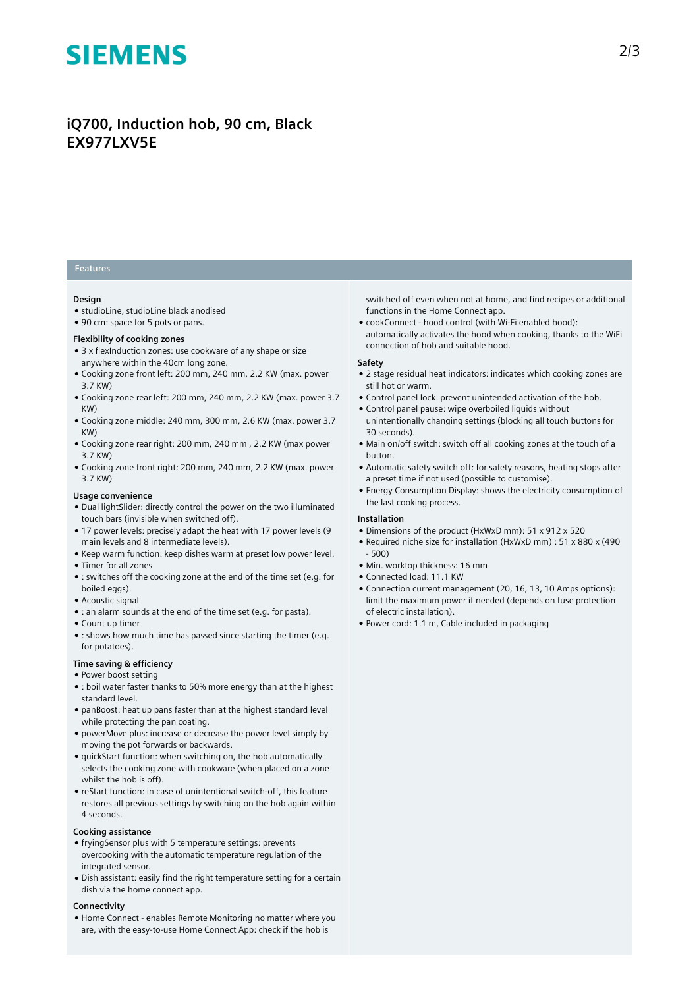# **SIEMENS**

# **iQ700, Induction hob, 90 cm, Black EX977LXV5E**

### **Features**

#### **Design**

- studioLine, studioLine black anodised
- 90 cm: space for 5 pots or pans.

#### **Flexibility of cooking zones**

- 3 x flexInduction zones: use cookware of any shape or size anywhere within the 40cm long zone.
- Cooking zone front left: 200 mm, 240 mm, 2.2 KW (max. power 3.7 KW)
- Cooking zone rear left: 200 mm, 240 mm, 2.2 KW (max. power 3.7 KW)
- Cooking zone middle: 240 mm, 300 mm, 2.6 KW (max. power 3.7 KW)
- Cooking zone rear right: 200 mm, 240 mm , 2.2 KW (max power 3.7 KW)
- Cooking zone front right: 200 mm, 240 mm, 2.2 KW (max. power 3.7 KW)

#### **Usage convenience**

- Dual lightSlider: directly control the power on the two illuminated touch bars (invisible when switched off).
- 17 power levels: precisely adapt the heat with 17 power levels (9 main levels and 8 intermediate levels).
- Keep warm function: keep dishes warm at preset low power level.
- Timer for all zones
- : switches off the cooking zone at the end of the time set (e.g. for boiled eggs).
- Acoustic signal
- : an alarm sounds at the end of the time set (e.g. for pasta).
- Count up timer
- : shows how much time has passed since starting the timer (e.g. for potatoes).

#### **Time saving & efficiency**

- Power boost setting
- : boil water faster thanks to 50% more energy than at the highest standard level.
- panBoost: heat up pans faster than at the highest standard level while protecting the pan coating.
- powerMove plus: increase or decrease the power level simply by moving the pot forwards or backwards.
- quickStart function: when switching on, the hob automatically selects the cooking zone with cookware (when placed on a zone whilst the hob is off).
- reStart function: in case of unintentional switch-off, this feature restores all previous settings by switching on the hob again within 4 seconds.

#### **Cooking assistance**

- fryingSensor plus with 5 temperature settings: prevents overcooking with the automatic temperature regulation of the integrated sensor.
- Dish assistant: easily find the right temperature setting for a certain dish via the home connect app.

#### **Connectivity**

● Home Connect - enables Remote Monitoring no matter where you are, with the easy-to-use Home Connect App: check if the hob is

switched off even when not at home, and find recipes or additional functions in the Home Connect app.

● cookConnect - hood control (with Wi-Fi enabled hood): automatically activates the hood when cooking, thanks to the WiFi connection of hob and suitable hood.

#### **Safety**

- 2 stage residual heat indicators: indicates which cooking zones are still hot or warm.
- Control panel lock: prevent unintended activation of the hob.
- Control panel pause: wipe overboiled liquids without unintentionally changing settings (blocking all touch buttons for 30 seconds).
- Main on/off switch: switch off all cooking zones at the touch of a button.
- Automatic safety switch off: for safety reasons, heating stops after a preset time if not used (possible to customise).
- Energy Consumption Display: shows the electricity consumption of the last cooking process.

#### **Installation**

- Dimensions of the product (HxWxD mm): 51 x 912 x 520
- Required niche size for installation (HxWxD mm) : 51 x 880 x (490 - 500)
- Min. worktop thickness: 16 mm
- Connected load: 11.1 KW
- Connection current management (20, 16, 13, 10 Amps options): limit the maximum power if needed (depends on fuse protection of electric installation).
- Power cord: 1.1 m, Cable included in packaging